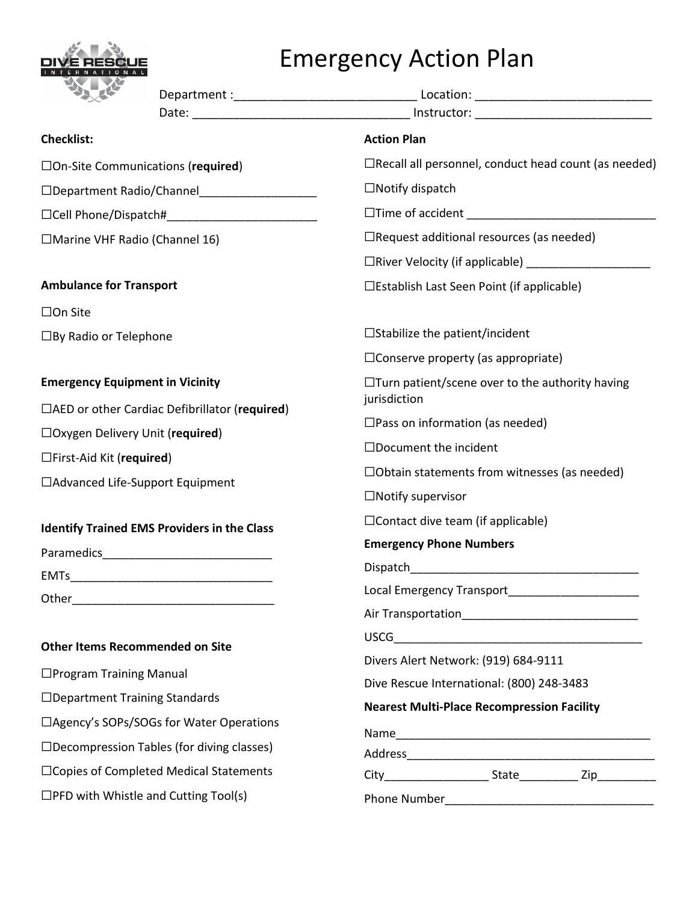

## Emergency Action Plan

| <b>Checklist:</b>                                       | <b>Action Plan</b>                                                                |  |  |
|---------------------------------------------------------|-----------------------------------------------------------------------------------|--|--|
| $\Box$ On-Site Communications (required)                | $\Box$ Recall all personnel, conduct head count (as needed)                       |  |  |
| □Department Radio/Channel   □                           | $\Box$ Notify dispatch                                                            |  |  |
| $\Box$ Cell Phone/Dispatch# $\Box$ Cell Phone/Dispatch# |                                                                                   |  |  |
| □Marine VHF Radio (Channel 16)                          | $\Box$ Request additional resources (as needed)                                   |  |  |
|                                                         |                                                                                   |  |  |
| <b>Ambulance for Transport</b>                          | □Establish Last Seen Point (if applicable)                                        |  |  |
| $\square$ On Site                                       |                                                                                   |  |  |
| $\Box$ By Radio or Telephone                            | $\square$ Stabilize the patient/incident                                          |  |  |
|                                                         | $\square$ Conserve property (as appropriate)                                      |  |  |
| <b>Emergency Equipment in Vicinity</b>                  | $\Box$ Turn patient/scene over to the authority having<br>jurisdiction            |  |  |
| □AED or other Cardiac Defibrillator (required)          |                                                                                   |  |  |
| $\Box$ Oxygen Delivery Unit (required)                  | $\square$ Pass on information (as needed)                                         |  |  |
| $\Box$ First-Aid Kit (required)                         | $\Box$ Document the incident                                                      |  |  |
| □ Advanced Life-Support Equipment                       | $\Box$ Obtain statements from witnesses (as needed)                               |  |  |
|                                                         | $\Box$ Notify supervisor                                                          |  |  |
| <b>Identify Trained EMS Providers in the Class</b>      | $\Box$ Contact dive team (if applicable)<br><b>Emergency Phone Numbers</b>        |  |  |
|                                                         |                                                                                   |  |  |
|                                                         |                                                                                   |  |  |
| Other                                                   | Local Emergency Transport                                                         |  |  |
|                                                         |                                                                                   |  |  |
| <b>Other Items Recommended on Site</b>                  | Divers Alert Network: (919) 684-9111<br>Dive Rescue International: (800) 248-3483 |  |  |
| $\Box$ Program Training Manual                          |                                                                                   |  |  |
| □Department Training Standards                          |                                                                                   |  |  |
| □ Agency's SOPs/SOGs for Water Operations               | <b>Nearest Multi-Place Recompression Facility</b>                                 |  |  |
| $\Box$ Decompression Tables (for diving classes)        |                                                                                   |  |  |
| □ Copies of Completed Medical Statements                |                                                                                   |  |  |
| $\Box$ PFD with Whistle and Cutting Tool(s)             |                                                                                   |  |  |